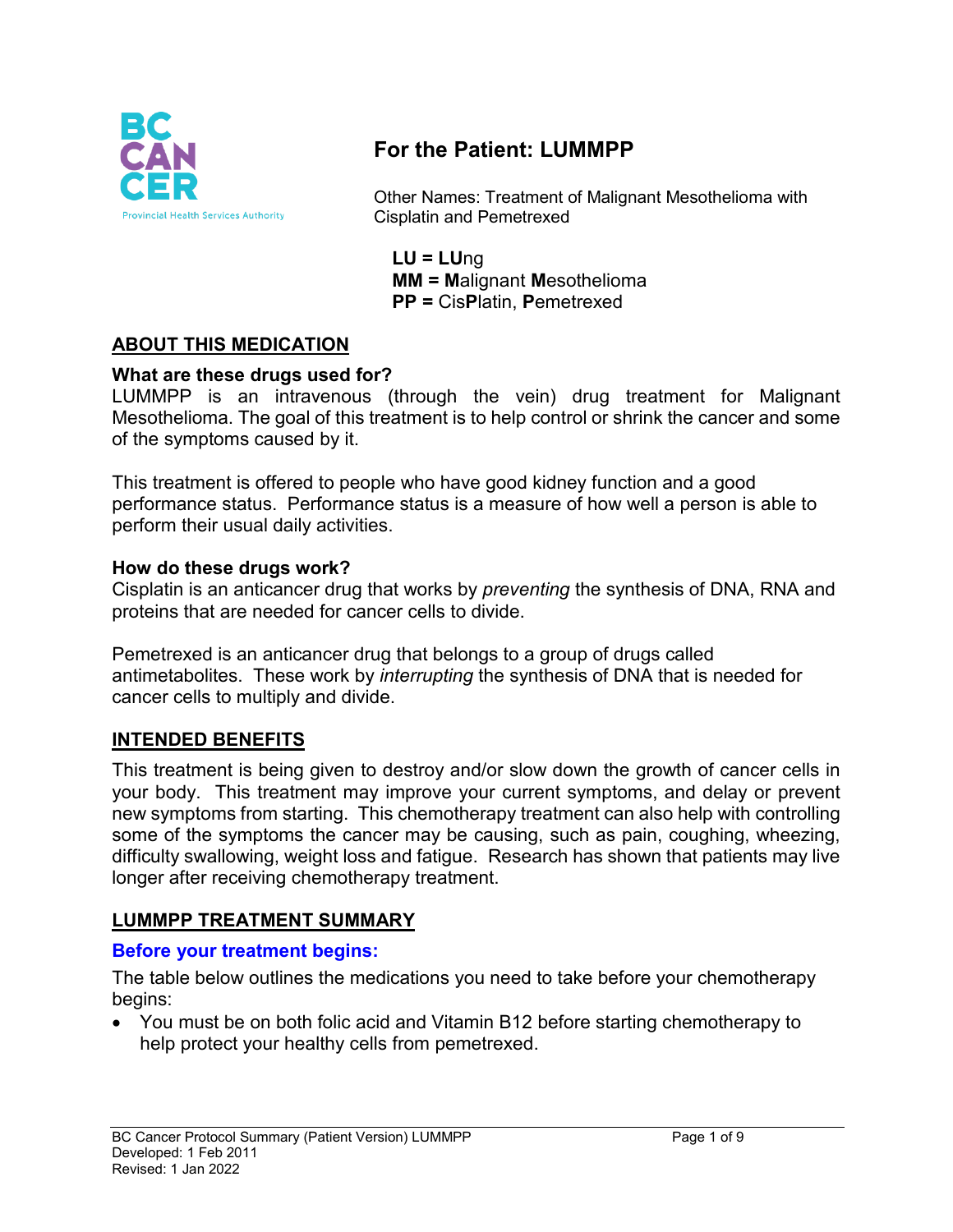

# **For the Patient: LUMMPP**

Other Names: Treatment of Malignant Mesothelioma with Cisplatin and Pemetrexed

**LU = LU**ng **MM = M**alignant **M**esothelioma **PP =** Cis**P**latin, **P**emetrexed

## **ABOUT THIS MEDICATION**

#### **What are these drugs used for?**

LUMMPP is an intravenous (through the vein) drug treatment for Malignant Mesothelioma. The goal of this treatment is to help control or shrink the cancer and some of the symptoms caused by it.

This treatment is offered to people who have good kidney function and a good performance status. Performance status is a measure of how well a person is able to perform their usual daily activities.

#### **How do these drugs work?**

Cisplatin is an anticancer drug that works by *preventing* the synthesis of DNA, RNA and proteins that are needed for cancer cells to divide.

Pemetrexed is an anticancer drug that belongs to a group of drugs called antimetabolites. These work by *interrupting* the synthesis of DNA that is needed for cancer cells to multiply and divide.

### **INTENDED BENEFITS**

This treatment is being given to destroy and/or slow down the growth of cancer cells in your body. This treatment may improve your current symptoms, and delay or prevent new symptoms from starting. This chemotherapy treatment can also help with controlling some of the symptoms the cancer may be causing, such as pain, coughing, wheezing, difficulty swallowing, weight loss and fatigue. Research has shown that patients may live longer after receiving chemotherapy treatment.

#### **LUMMPP TREATMENT SUMMARY**

#### **Before your treatment begins:**

The table below outlines the medications you need to take before your chemotherapy begins:

• You must be on both folic acid and Vitamin B12 before starting chemotherapy to help protect your healthy cells from pemetrexed.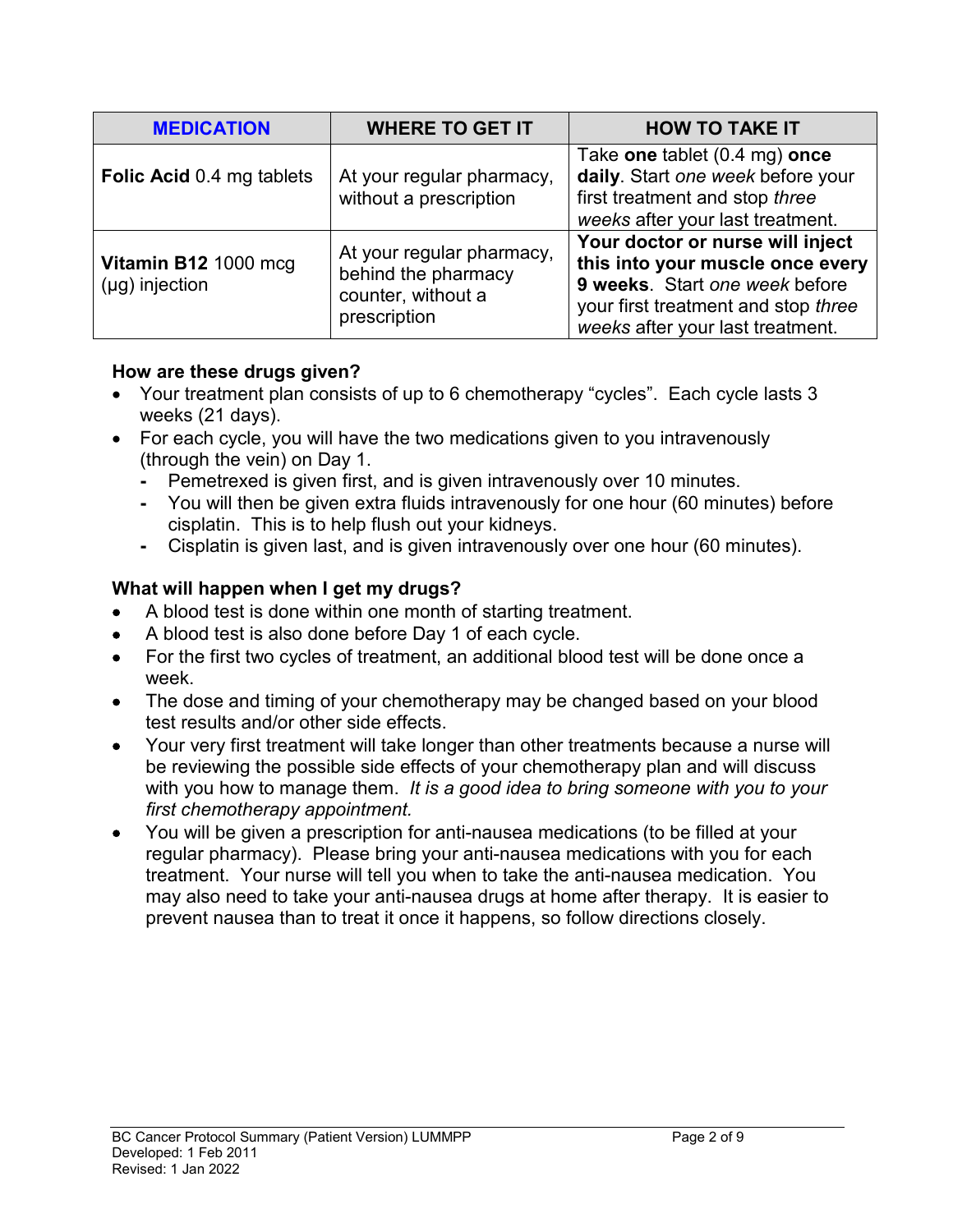| <b>MEDICATION</b>                           | <b>WHERE TO GET IT</b>                                                                 | <b>HOW TO TAKE IT</b>                                                                                                                                                             |  |
|---------------------------------------------|----------------------------------------------------------------------------------------|-----------------------------------------------------------------------------------------------------------------------------------------------------------------------------------|--|
| Folic Acid 0.4 mg tablets                   | At your regular pharmacy,<br>without a prescription                                    | Take one tablet (0.4 mg) once<br>daily. Start one week before your<br>first treatment and stop three<br>weeks after your last treatment.                                          |  |
| Vitamin B12 1000 mcg<br>$(\mu g)$ injection | At your regular pharmacy,<br>behind the pharmacy<br>counter, without a<br>prescription | Your doctor or nurse will inject<br>this into your muscle once every<br>9 weeks. Start one week before<br>your first treatment and stop three<br>weeks after your last treatment. |  |

## **How are these drugs given?**

- Your treatment plan consists of up to 6 chemotherapy "cycles". Each cycle lasts 3 weeks (21 days).
- For each cycle, you will have the two medications given to you intravenously (through the vein) on Day 1.
	- **-** Pemetrexed is given first, and is given intravenously over 10 minutes.
	- **-** You will then be given extra fluids intravenously for one hour (60 minutes) before cisplatin. This is to help flush out your kidneys.
	- **-** Cisplatin is given last, and is given intravenously over one hour (60 minutes).

# **What will happen when I get my drugs?**

- A blood test is done within one month of starting treatment.
- A blood test is also done before Day 1 of each cycle.
- For the first two cycles of treatment, an additional blood test will be done once a week.
- The dose and timing of your chemotherapy may be changed based on your blood test results and/or other side effects.
- Your very first treatment will take longer than other treatments because a nurse will be reviewing the possible side effects of your chemotherapy plan and will discuss with you how to manage them. *It is a good idea to bring someone with you to your first chemotherapy appointment.*
- You will be given a prescription for anti-nausea medications (to be filled at your regular pharmacy). Please bring your anti-nausea medications with you for each treatment. Your nurse will tell you when to take the anti-nausea medication. You may also need to take your anti-nausea drugs at home after therapy. It is easier to prevent nausea than to treat it once it happens, so follow directions closely.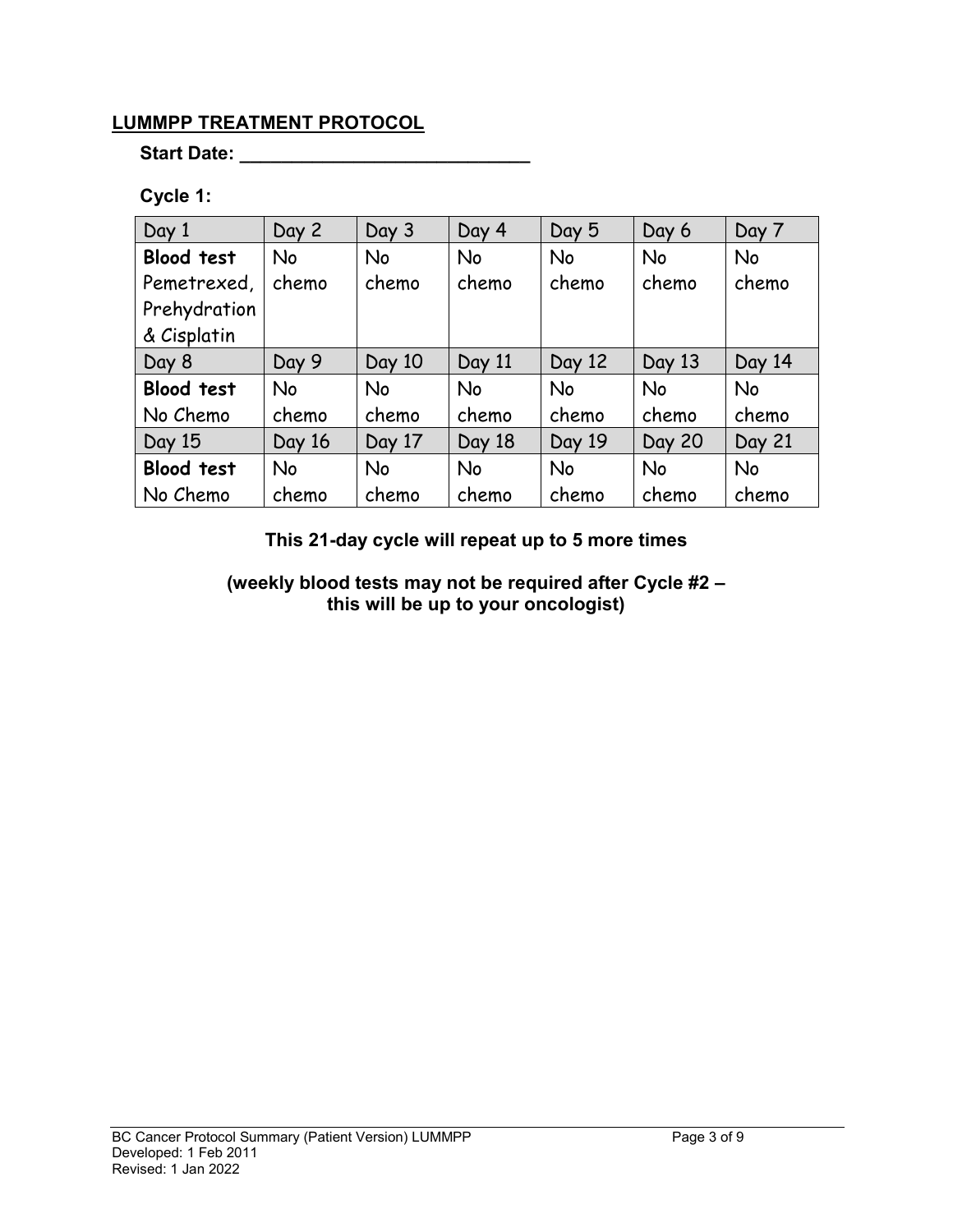# **LUMMPP TREATMENT PROTOCOL**

## **Start Date: \_\_\_\_\_\_\_\_\_\_\_\_\_\_\_\_\_\_\_\_\_\_\_\_\_\_\_\_**

## **Cycle 1:**

| Day 1             | Day 2     | Day 3     | Day 4     | Day 5     | Day 6         | Day 7     |
|-------------------|-----------|-----------|-----------|-----------|---------------|-----------|
| <b>Blood test</b> | <b>No</b> | <b>No</b> | <b>No</b> | <b>No</b> | <b>No</b>     | No        |
| Pemetrexed,       | chemo     | chemo     | chemo     | chemo     | chemo         | chemo     |
| Prehydration      |           |           |           |           |               |           |
| & Cisplatin       |           |           |           |           |               |           |
| Day 8             | Day 9     | Day 10    | Day 11    | Day 12    | Day 13        | Day 14    |
| <b>Blood test</b> | <b>No</b> | <b>No</b> | <b>No</b> | <b>No</b> | <b>No</b>     | <b>No</b> |
| No Chemo          | chemo     | chemo     | chemo     | chemo     | chemo         | chemo     |
| Day 15            | Day 16    | Day 17    | Day 18    | Day 19    | <b>Day 20</b> | Day 21    |
| <b>Blood test</b> | <b>No</b> | <b>No</b> | <b>No</b> | <b>No</b> | <b>No</b>     | <b>No</b> |
| No Chemo          | chemo     | chemo     | chemo     | chemo     | chemo         | chemo     |

**This 21-day cycle will repeat up to 5 more times**

**(weekly blood tests may not be required after Cycle #2 – this will be up to your oncologist)**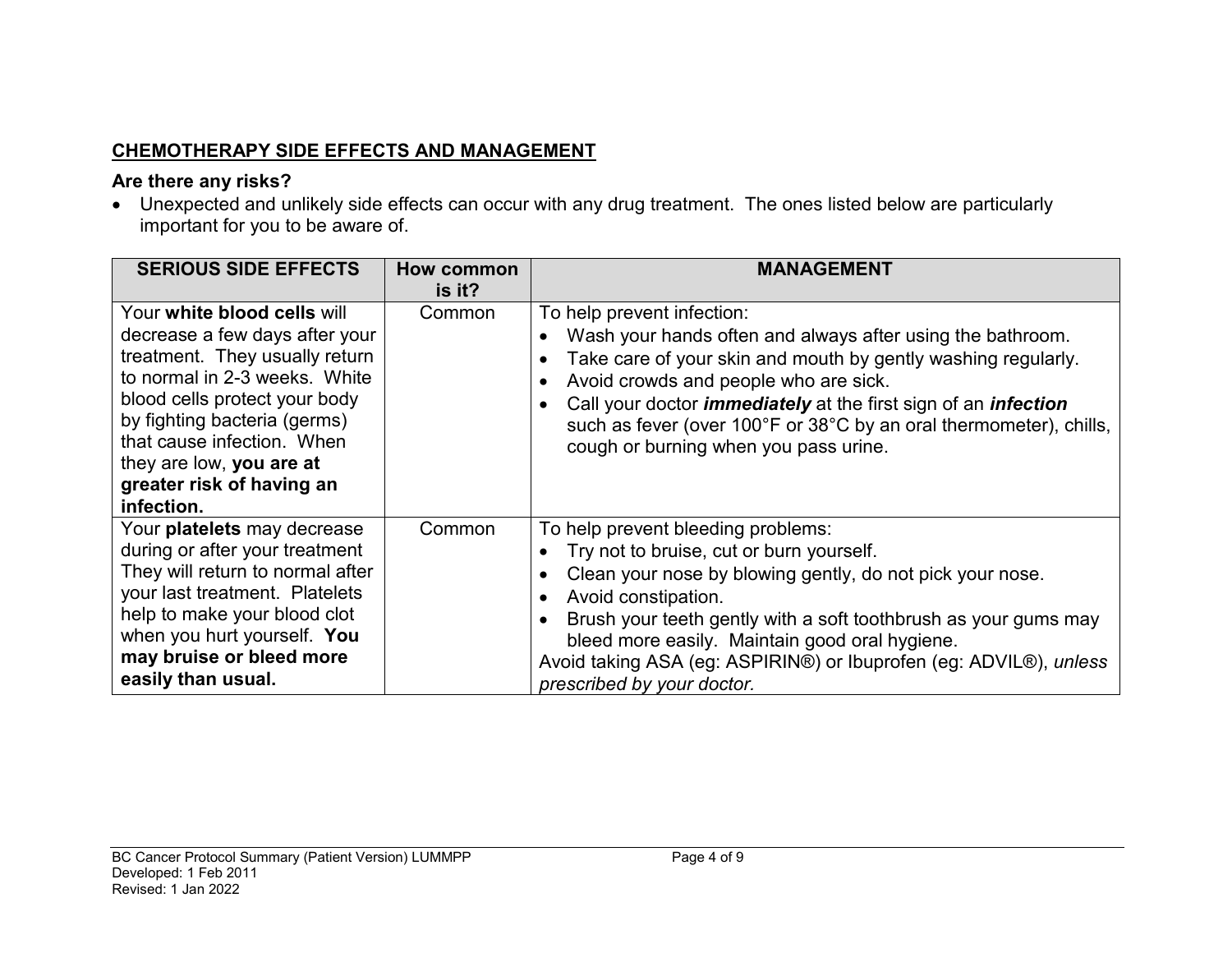# **CHEMOTHERAPY SIDE EFFECTS AND MANAGEMENT**

# **Are there any risks?**

• Unexpected and unlikely side effects can occur with any drug treatment. The ones listed below are particularly important for you to be aware of.

| <b>SERIOUS SIDE EFFECTS</b>                                                                                                                                                                                                                                                                            | How common<br>is it? | <b>MANAGEMENT</b>                                                                                                                                                                                                                                                                                                                                                                                 |
|--------------------------------------------------------------------------------------------------------------------------------------------------------------------------------------------------------------------------------------------------------------------------------------------------------|----------------------|---------------------------------------------------------------------------------------------------------------------------------------------------------------------------------------------------------------------------------------------------------------------------------------------------------------------------------------------------------------------------------------------------|
| Your white blood cells will<br>decrease a few days after your<br>treatment. They usually return<br>to normal in 2-3 weeks. White<br>blood cells protect your body<br>by fighting bacteria (germs)<br>that cause infection. When<br>they are low, you are at<br>greater risk of having an<br>infection. | Common               | To help prevent infection:<br>Wash your hands often and always after using the bathroom.<br>Take care of your skin and mouth by gently washing regularly.<br>Avoid crowds and people who are sick.<br>Call your doctor <i>immediately</i> at the first sign of an <i>infection</i><br>such as fever (over 100°F or 38°C by an oral thermometer), chills,<br>cough or burning when you pass urine. |
| Your platelets may decrease<br>during or after your treatment<br>They will return to normal after<br>your last treatment. Platelets<br>help to make your blood clot<br>when you hurt yourself. You<br>may bruise or bleed more<br>easily than usual.                                                   | Common               | To help prevent bleeding problems:<br>Try not to bruise, cut or burn yourself.<br>Clean your nose by blowing gently, do not pick your nose.<br>Avoid constipation.<br>Brush your teeth gently with a soft toothbrush as your gums may<br>bleed more easily. Maintain good oral hygiene.<br>Avoid taking ASA (eg: ASPIRIN®) or Ibuprofen (eg: ADVIL®), unless<br>prescribed by your doctor.        |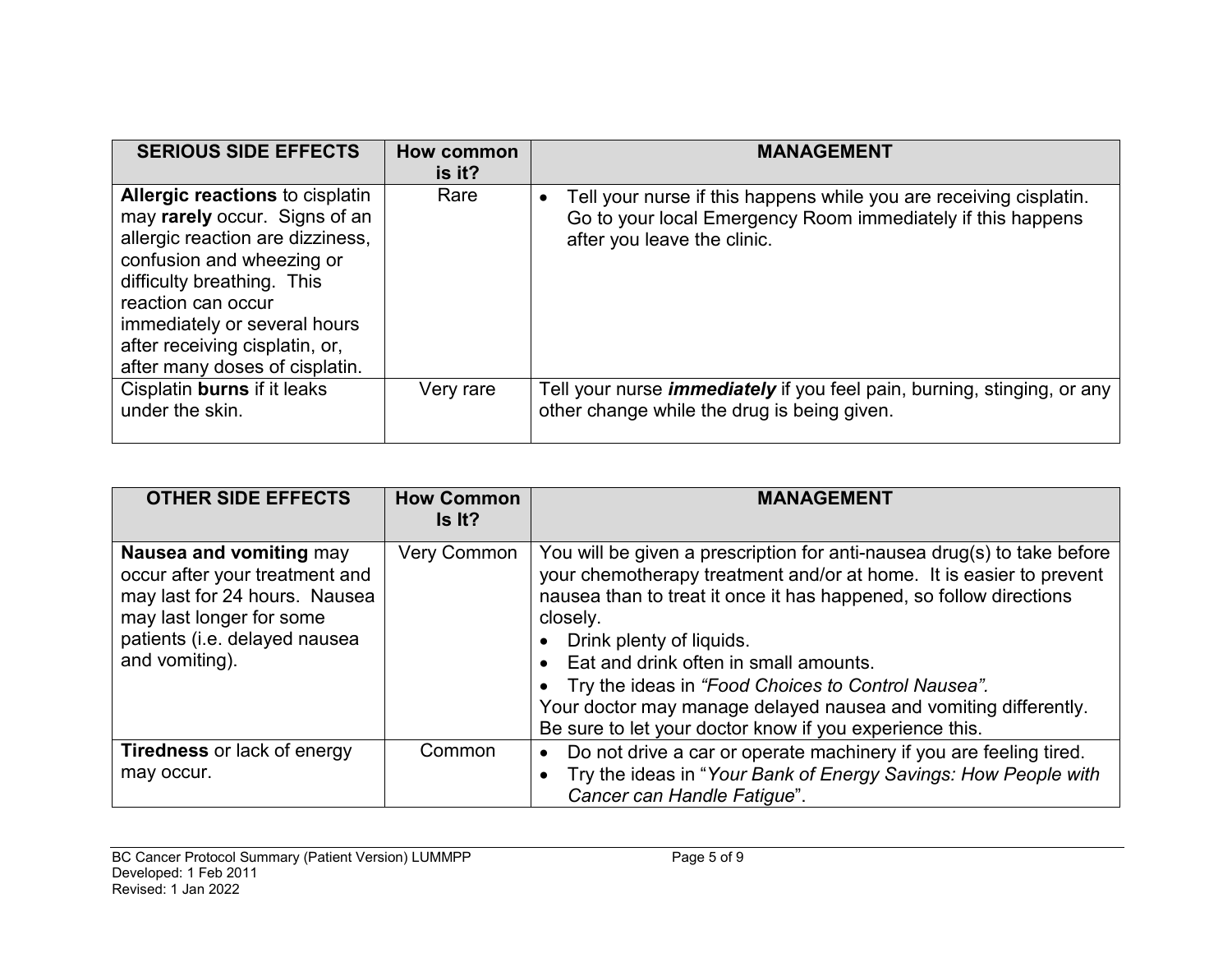| <b>SERIOUS SIDE EFFECTS</b>                                                                                                                                                                                                                                                                      | How common<br>is it? | <b>MANAGEMENT</b>                                                                                                                                                             |
|--------------------------------------------------------------------------------------------------------------------------------------------------------------------------------------------------------------------------------------------------------------------------------------------------|----------------------|-------------------------------------------------------------------------------------------------------------------------------------------------------------------------------|
| <b>Allergic reactions to cisplatin</b><br>may rarely occur. Signs of an<br>allergic reaction are dizziness,<br>confusion and wheezing or<br>difficulty breathing. This<br>reaction can occur<br>immediately or several hours<br>after receiving cisplatin, or,<br>after many doses of cisplatin. | Rare                 | Tell your nurse if this happens while you are receiving cisplatin.<br>$\bullet$<br>Go to your local Emergency Room immediately if this happens<br>after you leave the clinic. |
| Cisplatin burns if it leaks<br>under the skin.                                                                                                                                                                                                                                                   | Very rare            | Tell your nurse <i>immediately</i> if you feel pain, burning, stinging, or any<br>other change while the drug is being given.                                                 |

| <b>OTHER SIDE EFFECTS</b>                                                                                                                                                 | <b>How Common</b><br>Is It? | <b>MANAGEMENT</b>                                                                                                                                                                                                                                                                                                                                                                                                                                                                           |
|---------------------------------------------------------------------------------------------------------------------------------------------------------------------------|-----------------------------|---------------------------------------------------------------------------------------------------------------------------------------------------------------------------------------------------------------------------------------------------------------------------------------------------------------------------------------------------------------------------------------------------------------------------------------------------------------------------------------------|
| Nausea and vomiting may<br>occur after your treatment and<br>may last for 24 hours. Nausea<br>may last longer for some<br>patients (i.e. delayed nausea<br>and vomiting). | <b>Very Common</b>          | You will be given a prescription for anti-nausea drug(s) to take before<br>your chemotherapy treatment and/or at home. It is easier to prevent<br>nausea than to treat it once it has happened, so follow directions<br>closely.<br>Drink plenty of liquids.<br>Eat and drink often in small amounts.<br>• Try the ideas in "Food Choices to Control Nausea".<br>Your doctor may manage delayed nausea and vomiting differently.<br>Be sure to let your doctor know if you experience this. |
| <b>Tiredness</b> or lack of energy<br>may occur.                                                                                                                          | Common                      | Do not drive a car or operate machinery if you are feeling tired.<br>Try the ideas in "Your Bank of Energy Savings: How People with<br>Cancer can Handle Fatigue".                                                                                                                                                                                                                                                                                                                          |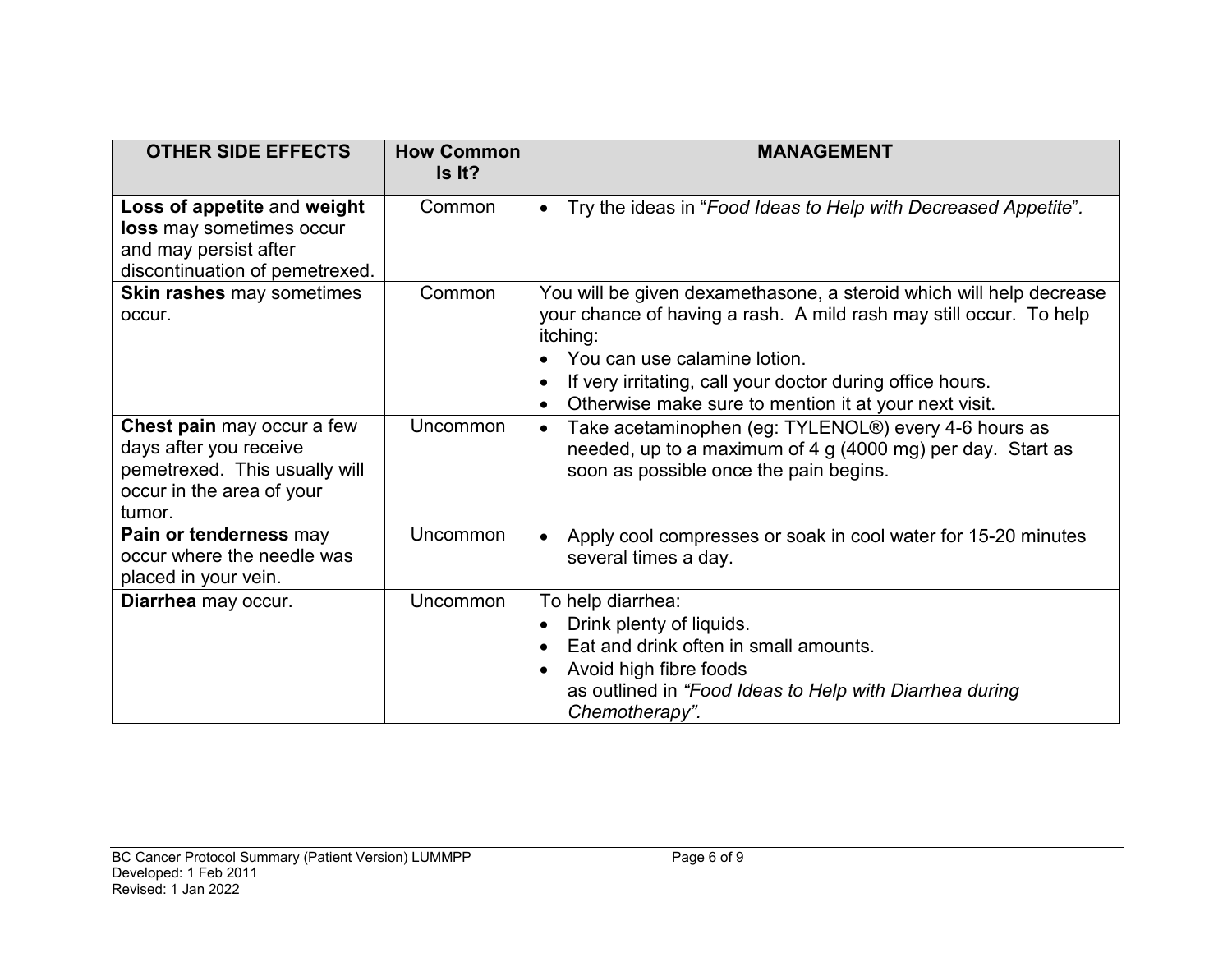| <b>OTHER SIDE EFFECTS</b>                                                                                                           | <b>How Common</b><br>Is It? | <b>MANAGEMENT</b>                                                                                                                                                                                                                                                                                                        |
|-------------------------------------------------------------------------------------------------------------------------------------|-----------------------------|--------------------------------------------------------------------------------------------------------------------------------------------------------------------------------------------------------------------------------------------------------------------------------------------------------------------------|
| Loss of appetite and weight<br>loss may sometimes occur<br>and may persist after<br>discontinuation of pemetrexed.                  | Common                      | Try the ideas in "Food Ideas to Help with Decreased Appetite".                                                                                                                                                                                                                                                           |
| Skin rashes may sometimes<br>occur.                                                                                                 | Common                      | You will be given dexamethasone, a steroid which will help decrease<br>your chance of having a rash. A mild rash may still occur. To help<br>itching:<br>You can use calamine lotion.<br>If very irritating, call your doctor during office hours.<br>Otherwise make sure to mention it at your next visit.<br>$\bullet$ |
| <b>Chest pain</b> may occur a few<br>days after you receive<br>pemetrexed. This usually will<br>occur in the area of your<br>tumor. | Uncommon                    | Take acetaminophen (eg: TYLENOL®) every 4-6 hours as<br>$\bullet$<br>needed, up to a maximum of 4 g (4000 mg) per day. Start as<br>soon as possible once the pain begins.                                                                                                                                                |
| Pain or tenderness may<br>occur where the needle was<br>placed in your vein.                                                        | Uncommon                    | Apply cool compresses or soak in cool water for 15-20 minutes<br>several times a day.                                                                                                                                                                                                                                    |
| Diarrhea may occur.                                                                                                                 | Uncommon                    | To help diarrhea:<br>Drink plenty of liquids.<br>Eat and drink often in small amounts.<br>Avoid high fibre foods<br>as outlined in "Food Ideas to Help with Diarrhea during<br>Chemotherapy".                                                                                                                            |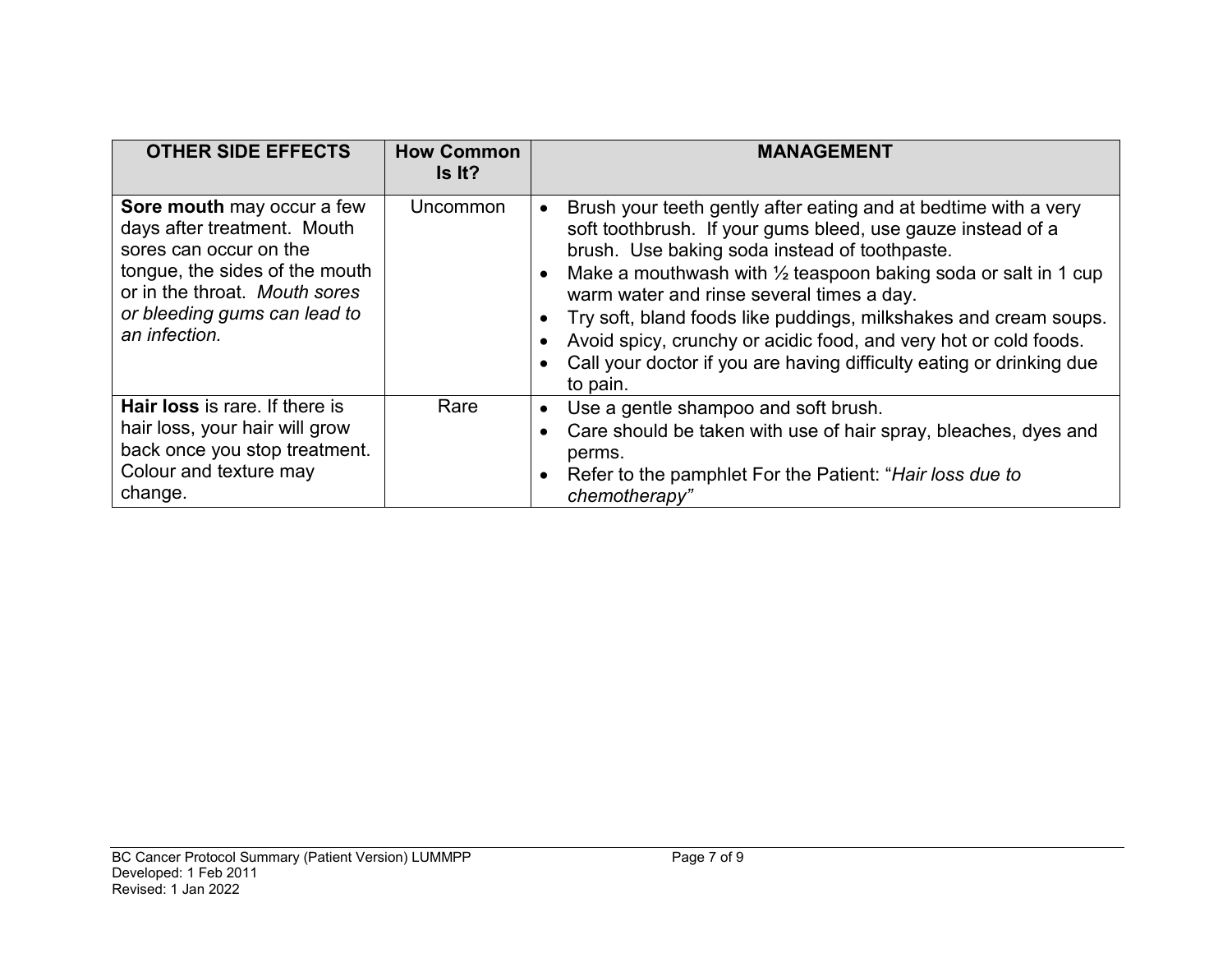| <b>OTHER SIDE EFFECTS</b>                                                                                                                                                                               | <b>How Common</b><br>Is It? | <b>MANAGEMENT</b>                                                                                                                                                                                                                                                                                                                                                                                                                                                                                                                     |
|---------------------------------------------------------------------------------------------------------------------------------------------------------------------------------------------------------|-----------------------------|---------------------------------------------------------------------------------------------------------------------------------------------------------------------------------------------------------------------------------------------------------------------------------------------------------------------------------------------------------------------------------------------------------------------------------------------------------------------------------------------------------------------------------------|
| Sore mouth may occur a few<br>days after treatment. Mouth<br>sores can occur on the<br>tongue, the sides of the mouth<br>or in the throat. Mouth sores<br>or bleeding gums can lead to<br>an infection. | <b>Uncommon</b>             | Brush your teeth gently after eating and at bedtime with a very<br>soft toothbrush. If your gums bleed, use gauze instead of a<br>brush. Use baking soda instead of toothpaste.<br>Make a mouthwash with $\frac{1}{2}$ teaspoon baking soda or salt in 1 cup<br>warm water and rinse several times a day.<br>Try soft, bland foods like puddings, milkshakes and cream soups.<br>Avoid spicy, crunchy or acidic food, and very hot or cold foods.<br>Call your doctor if you are having difficulty eating or drinking due<br>to pain. |
| <b>Hair loss</b> is rare. If there is<br>hair loss, your hair will grow<br>back once you stop treatment.<br>Colour and texture may<br>change.                                                           | Rare                        | Use a gentle shampoo and soft brush.<br>Care should be taken with use of hair spray, bleaches, dyes and<br>perms.<br>Refer to the pamphlet For the Patient: "Hair loss due to<br>chemotherapy"                                                                                                                                                                                                                                                                                                                                        |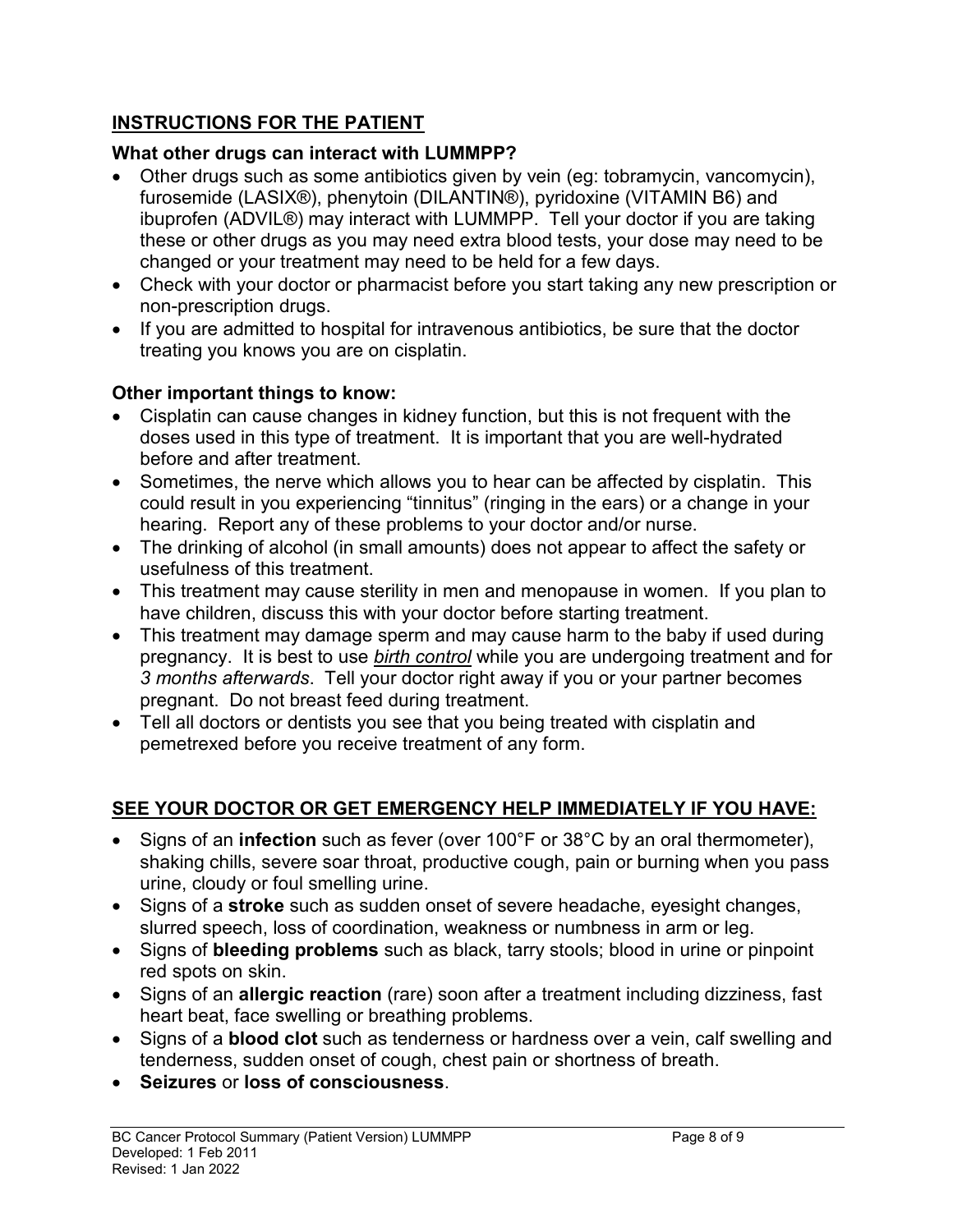# **INSTRUCTIONS FOR THE PATIENT**

# **What other drugs can interact with LUMMPP?**

- Other drugs such as some antibiotics given by vein (eg: tobramycin, vancomycin), furosemide (LASIX®), phenytoin (DILANTIN®), pyridoxine (VITAMIN B6) and ibuprofen (ADVIL®) may interact with LUMMPP. Tell your doctor if you are taking these or other drugs as you may need extra blood tests, your dose may need to be changed or your treatment may need to be held for a few days.
- Check with your doctor or pharmacist before you start taking any new prescription or non-prescription drugs.
- If you are admitted to hospital for intravenous antibiotics, be sure that the doctor treating you knows you are on cisplatin.

# **Other important things to know:**

- Cisplatin can cause changes in kidney function, but this is not frequent with the doses used in this type of treatment. It is important that you are well-hydrated before and after treatment.
- Sometimes, the nerve which allows you to hear can be affected by cisplatin. This could result in you experiencing "tinnitus" (ringing in the ears) or a change in your hearing. Report any of these problems to your doctor and/or nurse.
- The drinking of alcohol (in small amounts) does not appear to affect the safety or usefulness of this treatment.
- This treatment may cause sterility in men and menopause in women. If you plan to have children, discuss this with your doctor before starting treatment.
- This treatment may damage sperm and may cause harm to the baby if used during pregnancy. It is best to use *birth control* while you are undergoing treatment and for *3 months afterwards*. Tell your doctor right away if you or your partner becomes pregnant. Do not breast feed during treatment.
- Tell all doctors or dentists you see that you being treated with cisplatin and pemetrexed before you receive treatment of any form.

# **SEE YOUR DOCTOR OR GET EMERGENCY HELP IMMEDIATELY IF YOU HAVE:**

- Signs of an **infection** such as fever (over 100°F or 38°C by an oral thermometer), shaking chills, severe soar throat, productive cough, pain or burning when you pass urine, cloudy or foul smelling urine.
- Signs of a **stroke** such as sudden onset of severe headache, eyesight changes, slurred speech, loss of coordination, weakness or numbness in arm or leg.
- Signs of **bleeding problems** such as black, tarry stools; blood in urine or pinpoint red spots on skin.
- Signs of an **allergic reaction** (rare) soon after a treatment including dizziness, fast heart beat, face swelling or breathing problems.
- Signs of a **blood clot** such as tenderness or hardness over a vein, calf swelling and tenderness, sudden onset of cough, chest pain or shortness of breath.
- **Seizures** or **loss of consciousness**.